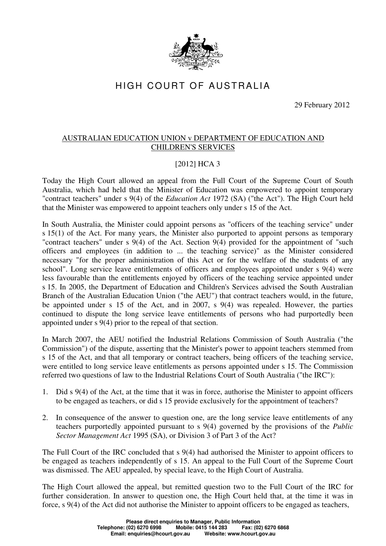

## HIGH COURT OF AUSTRALIA

29 February 2012

## AUSTRALIAN EDUCATION UNION v DEPARTMENT OF EDUCATION AND CHILDREN'S SERVICES

## [2012] HCA 3

Today the High Court allowed an appeal from the Full Court of the Supreme Court of South Australia, which had held that the Minister of Education was empowered to appoint temporary "contract teachers" under s 9(4) of the *Education Act* 1972 (SA) ("the Act"). The High Court held that the Minister was empowered to appoint teachers only under s 15 of the Act.

In South Australia, the Minister could appoint persons as "officers of the teaching service" under s 15(1) of the Act. For many years, the Minister also purported to appoint persons as temporary "contract teachers" under s 9(4) of the Act. Section 9(4) provided for the appointment of "such officers and employees (in addition to ... the teaching service)" as the Minister considered necessary "for the proper administration of this Act or for the welfare of the students of any school". Long service leave entitlements of officers and employees appointed under s 9(4) were less favourable than the entitlements enjoyed by officers of the teaching service appointed under s 15. In 2005, the Department of Education and Children's Services advised the South Australian Branch of the Australian Education Union ("the AEU") that contract teachers would, in the future, be appointed under s 15 of the Act, and in 2007, s 9(4) was repealed. However, the parties continued to dispute the long service leave entitlements of persons who had purportedly been appointed under s 9(4) prior to the repeal of that section.

In March 2007, the AEU notified the Industrial Relations Commission of South Australia ("the Commission") of the dispute, asserting that the Minister's power to appoint teachers stemmed from s 15 of the Act, and that all temporary or contract teachers, being officers of the teaching service, were entitled to long service leave entitlements as persons appointed under s 15. The Commission referred two questions of law to the Industrial Relations Court of South Australia ("the IRC"):

- 1. Did s 9(4) of the Act, at the time that it was in force, authorise the Minister to appoint officers to be engaged as teachers, or did s 15 provide exclusively for the appointment of teachers?
- 2. In consequence of the answer to question one, are the long service leave entitlements of any teachers purportedly appointed pursuant to s 9(4) governed by the provisions of the *Public Sector Management Act* 1995 (SA), or Division 3 of Part 3 of the Act?

The Full Court of the IRC concluded that s 9(4) had authorised the Minister to appoint officers to be engaged as teachers independently of s 15. An appeal to the Full Court of the Supreme Court was dismissed. The AEU appealed, by special leave, to the High Court of Australia.

The High Court allowed the appeal, but remitted question two to the Full Court of the IRC for further consideration. In answer to question one, the High Court held that, at the time it was in force, s 9(4) of the Act did not authorise the Minister to appoint officers to be engaged as teachers,